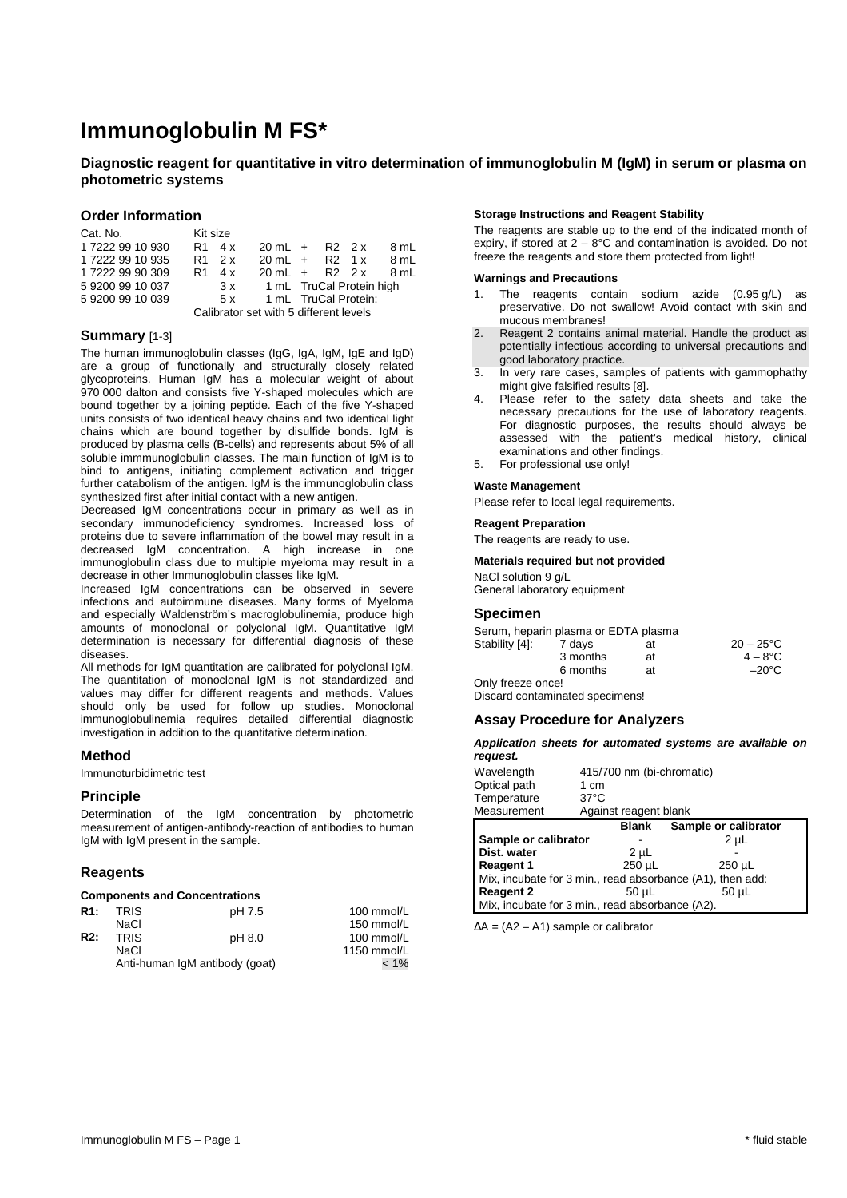# **Immunoglobulin M FS\***

# **Diagnostic reagent for quantitative in vitro determination of immunoglobulin M (IgM) in serum or plasma on photometric systems**

# **Order Information**

| Cat. No.                               | Kit size       |        |                         |  |                          |      |
|----------------------------------------|----------------|--------|-------------------------|--|--------------------------|------|
| 17222 99 10 930                        | $R1 \quad 4x$  |        | $20 \text{ mL} + R2 2x$ |  |                          | 8 mL |
| 1 7222 99 10 935                       |                | R1 2 x | $20 \text{ mL} + R2 1x$ |  |                          | 8 mL |
| 1 7222 99 90 309                       | R <sub>1</sub> | 4 x    | $20 \text{ mL} + R2 2x$ |  |                          | 8 ml |
| 592009910037                           |                | 3x     |                         |  | 1 mL TruCal Protein high |      |
| 592009910039                           |                | 5 x    |                         |  | 1 mL TruCal Protein:     |      |
| Calibrator set with 5 different levels |                |        |                         |  |                          |      |

# **Summary** [1-3]

The human immunoglobulin classes (IgG, IgA, IgM, IgE and IgD) are a group of functionally and structurally closely related glycoproteins. Human IgM has a molecular weight of about 970 000 dalton and consists five Y-shaped molecules which are bound together by a joining peptide. Each of the five Y-shaped units consists of two identical heavy chains and two identical light chains which are bound together by disulfide bonds. IgM is produced by plasma cells (B-cells) and represents about 5% of all soluble immmunoglobulin classes. The main function of IgM is to bind to antigens, initiating complement activation and trigger further catabolism of the antigen. IgM is the immunoglobulin class synthesized first after initial contact with a new antigen.

Decreased IgM concentrations occur in primary as well as in secondary immunodeficiency syndromes. Increased loss of proteins due to severe inflammation of the bowel may result in a decreased IgM concentration. A high increase in one immunoglobulin class due to multiple myeloma may result in a decrease in other Immunoglobulin classes like IgM.

Increased IgM concentrations can be observed in severe infections and autoimmune diseases. Many forms of Myeloma and especially Waldenström's macroglobulinemia, produce high amounts of monoclonal or polyclonal IgM. Quantitative IgM determination is necessary for differential diagnosis of these diseases.

All methods for IgM quantitation are calibrated for polyclonal IgM. The quantitation of monoclonal IgM is not standardized and values may differ for different reagents and methods. Values should only be used for follow up studies. Monoclonal immunoglobulinemia requires detailed differential diagnostic investigation in addition to the quantitative determination.

# **Method**

Immunoturbidimetric test

# **Principle**

Determination of the IgM concentration by photometric measurement of antigen-antibody-reaction of antibodies to human IgM with IgM present in the sample.

# **Reagents**

### **Components and Concentrations**

| R <sub>1:</sub> | <b>TRIS</b>                    | pH 7.5  | 100 mmol/L  |
|-----------------|--------------------------------|---------|-------------|
|                 | NaCl                           |         | 150 mmol/L  |
| R2:             | <b>TRIS</b>                    | pH 8.0  | 100 mmol/L  |
|                 | NaCl                           |         | 1150 mmol/L |
|                 | Anti-human IgM antibody (goat) | $< 1\%$ |             |

#### **Storage Instructions and Reagent Stability**

The reagents are stable up to the end of the indicated month of expiry, if stored at  $2 - 8^{\circ}$ C and contamination is avoided. Do not freeze the reagents and store them protected from light!

#### **Warnings and Precautions**

- 1. The reagents contain sodium azide (0.95 g/L) as preservative. Do not swallow! Avoid contact with skin and mucous membranes!
- 2. Reagent 2 contains animal material. Handle the product as potentially infectious according to universal precautions and good laboratory practice.
- 3. In very rare cases, samples of patients with gammophathy might give falsified results [8].
- Please refer to the safety data sheets and take the necessary precautions for the use of laboratory reagents. For diagnostic purposes, the results should always be assessed with the patient's medical history, clinical examinations and other findings.
- 5. For professional use only!

#### **Waste Management**

Please refer to local legal requirements.

#### **Reagent Preparation**

The reagents are ready to use.

#### **Materials required but not provided**

NaCl solution 9 g/L General laboratory equipment

# **Specimen**

Serum, heparin plasma or EDTA plasma<br>Stability [4]: 7 days at Stability [4]: 7 days at 20 – 25°C 3 months at  $4 - 8^\circ \text{C}$  6 months at –20°C Only freeze once!

Discard contaminated specimens!

## **Assay Procedure for Analyzers**

#### **Application sheets for automated systems are available on request.**

| Wavelength<br>Optical path                                | 1 cm           | 415/700 nm (bi-chromatic) |             |  |
|-----------------------------------------------------------|----------------|---------------------------|-------------|--|
| Temperature                                               | $37^{\circ}$ C |                           |             |  |
| Measurement                                               |                | Against reagent blank     |             |  |
| Sample or calibrator<br><b>Blank</b>                      |                |                           |             |  |
| Sample or calibrator<br>2 <sub>µ</sub>                    |                |                           |             |  |
| Dist. water                                               |                | 2 µL                      |             |  |
| <b>Reagent 1</b>                                          |                | 250 µL                    | $250 \mu L$ |  |
| Mix, incubate for 3 min., read absorbance (A1), then add: |                |                           |             |  |
| <b>Reagent 2</b>                                          |                | 50 µL                     | 50 µL       |  |
| Mix, incubate for 3 min., read absorbance (A2).           |                |                           |             |  |

∆A = (A2 – A1) sample or calibrator